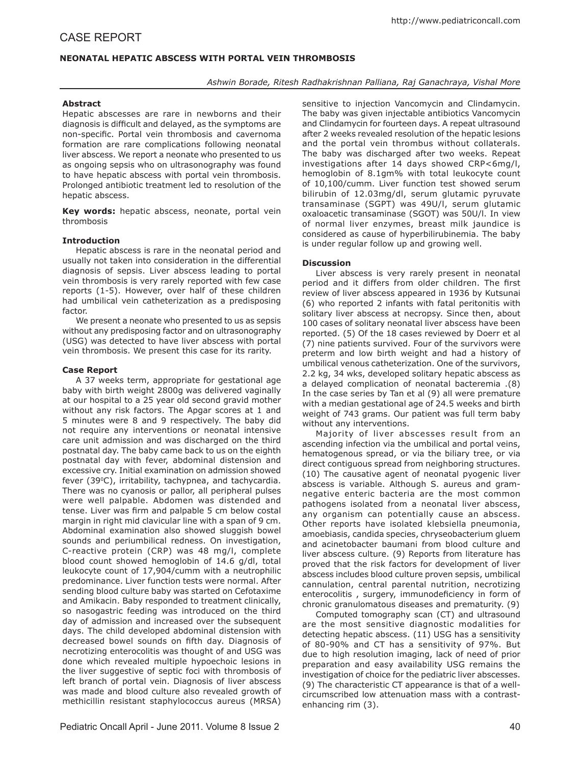# case report

## **NEONATAL HEPATIC ABSCESS WITH PORTAL VEIN THROMBOSIS**

### *Ashwin Borade, Ritesh Radhakrishnan Palliana, Raj Ganachraya, Vishal More*

#### **Abstract**

Hepatic abscesses are rare in newborns and their diagnosis is difficult and delayed, as the symptoms are non-specific. Portal vein thrombosis and cavernoma formation are rare complications following neonatal liver abscess. We report a neonate who presented to us as ongoing sepsis who on ultrasonography was found to have hepatic abscess with portal vein thrombosis. Prolonged antibiotic treatment led to resolution of the hepatic abscess.

**Key words:** hepatic abscess, neonate, portal vein thrombosis

#### **Introduction**

Hepatic abscess is rare in the neonatal period and usually not taken into consideration in the differential diagnosis of sepsis. Liver abscess leading to portal vein thrombosis is very rarely reported with few case reports (1-5). However, over half of these children had umbilical vein catheterization as a predisposing factor.

We present a neonate who presented to us as sepsis without any predisposing factor and on ultrasonography (USG) was detected to have liver abscess with portal vein thrombosis. We present this case for its rarity.

#### **Case Report**

A 37 weeks term, appropriate for gestational age baby with birth weight 2800g was delivered vaginally at our hospital to a 25 year old second gravid mother without any risk factors. The Apgar scores at 1 and 5 minutes were 8 and 9 respectively. The baby did not require any interventions or neonatal intensive care unit admission and was discharged on the third postnatal day. The baby came back to us on the eighth postnatal day with fever, abdominal distension and excessive cry. Initial examination on admission showed fever (39°C), irritability, tachypnea, and tachycardia. There was no cyanosis or pallor, all peripheral pulses were well palpable. Abdomen was distended and tense. Liver was firm and palpable 5 cm below costal margin in right mid clavicular line with a span of 9 cm. Abdominal examination also showed sluggish bowel sounds and periumbilical redness. On investigation, C-reactive protein (CRP) was 48 mg/l, complete blood count showed hemoglobin of 14.6 g/dl, total leukocyte count of 17,904/cumm with a neutrophilic predominance. Liver function tests were normal. After sending blood culture baby was started on Cefotaxime and Amikacin. Baby responded to treatment clinically, so nasogastric feeding was introduced on the third day of admission and increased over the subsequent days. The child developed abdominal distension with decreased bowel sounds on fifth day. Diagnosis of necrotizing enterocolitis was thought of and USG was done which revealed multiple hypoechoic lesions in the liver suggestive of septic foci with thrombosis of left branch of portal vein. Diagnosis of liver abscess was made and blood culture also revealed growth of methicillin resistant staphylococcus aureus (MRSA) sensitive to injection Vancomycin and Clindamycin. The baby was given injectable antibiotics Vancomycin and Clindamycin for fourteen days. A repeat ultrasound after 2 weeks revealed resolution of the hepatic lesions and the portal vein thrombus without collaterals. The baby was discharged after two weeks. Repeat investigations after 14 days showed CRP<6mg/l, hemoglobin of 8.1gm% with total leukocyte count of 10,100/cumm. Liver function test showed serum bilirubin of 12.03mg/dl, serum glutamic pyruvate transaminase (SGPT) was 49U/l, serum glutamic oxaloacetic transaminase (SGOT) was 50U/l. In view of normal liver enzymes, breast milk jaundice is considered as cause of hyperbilirubinemia. The baby is under regular follow up and growing well.

### **Discussion**

Liver abscess is very rarely present in neonatal period and it differs from older children. The first review of liver abscess appeared in 1936 by Kutsunai (6) who reported 2 infants with fatal peritonitis with solitary liver abscess at necropsy. Since then, about 100 cases of solitary neonatal liver abscess have been reported. (5) Of the 18 cases reviewed by Doerr et al (7) nine patients survived. Four of the survivors were preterm and low birth weight and had a history of umbilical venous catheterization. One of the survivors, 2.2 kg, 34 wks, developed solitary hepatic abscess as a delayed complication of neonatal bacteremia .(8) In the case series by Tan et al (9) all were premature with a median gestational age of 24.5 weeks and birth weight of 743 grams. Our patient was full term baby without any interventions.

Majority of liver abscesses result from an ascending infection via the umbilical and portal veins, hematogenous spread, or via the biliary tree, or via direct contiguous spread from neighboring structures. (10) The causative agent of neonatal pyogenic liver abscess is variable. Although S. aureus and gramnegative enteric bacteria are the most common pathogens isolated from a neonatal liver abscess, any organism can potentially cause an abscess. Other reports have isolated klebsiella pneumonia, amoebiasis, candida species, chryseobacterium gluem and acinetobacter baumani from blood culture and liver abscess culture. (9) Reports from literature has proved that the risk factors for development of liver abscess includes blood culture proven sepsis, umbilical cannulation, central parental nutrition, necrotizing enterocolitis , surgery, immunodeficiency in form of chronic granulomatous diseases and prematurity. (9)

Computed tomography scan (CT) and ultrasound are the most sensitive diagnostic modalities for detecting hepatic abscess. (11) USG has a sensitivity of 80-90% and CT has a sensitivity of 97%. But due to high resolution imaging, lack of need of prior preparation and easy availability USG remains the investigation of choice for the pediatric liver abscesses. (9) The characteristic CT appearance is that of a wellcircumscribed low attenuation mass with a contrastenhancing rim (3).